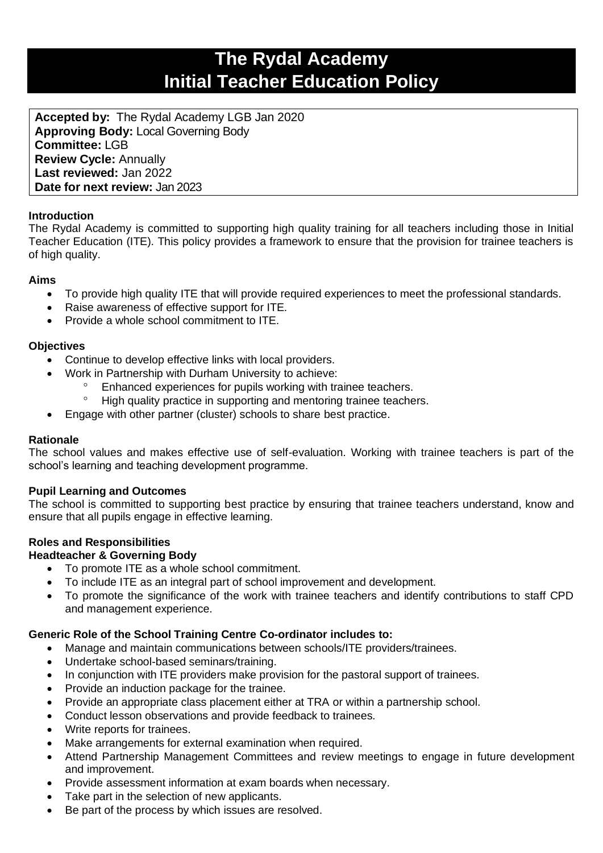# **The Rydal Academy Initial Teacher Education Policy**

**Accepted by:** The Rydal Academy LGB Jan 2020 **Approving Body:** Local Governing Body **Committee:** LGB **Review Cycle:** Annually **Last reviewed:** Jan 2022 **Date for next review:** Jan 2023

# **Introduction**

The Rydal Academy is committed to supporting high quality training for all teachers including those in Initial Teacher Education (ITE). This policy provides a framework to ensure that the provision for trainee teachers is of high quality.

## **Aims**

- To provide high quality ITE that will provide required experiences to meet the professional standards.
- Raise awareness of effective support for ITE.
- Provide a whole school commitment to ITE.

## **Objectives**

- Continue to develop effective links with local providers.
- Work in Partnership with Durham University to achieve:
	- Enhanced experiences for pupils working with trainee teachers.
	- <sup>o</sup> High quality practice in supporting and mentoring trainee teachers.
- Engage with other partner (cluster) schools to share best practice.

#### **Rationale**

The school values and makes effective use of self-evaluation. Working with trainee teachers is part of the school's learning and teaching development programme.

#### **Pupil Learning and Outcomes**

The school is committed to supporting best practice by ensuring that trainee teachers understand, know and ensure that all pupils engage in effective learning.

# **Roles and Responsibilities**

#### **Headteacher & Governing Body**

- To promote ITE as a whole school commitment.
- To include ITE as an integral part of school improvement and development.
- To promote the significance of the work with trainee teachers and identify contributions to staff CPD and management experience.

#### **Generic Role of the School Training Centre Co-ordinator includes to:**

- Manage and maintain communications between schools/ITE providers/trainees.
- Undertake school-based seminars/training.
- In conjunction with ITE providers make provision for the pastoral support of trainees.
- Provide an induction package for the trainee.
- Provide an appropriate class placement either at TRA or within a partnership school.
- Conduct lesson observations and provide feedback to trainees.
- Write reports for trainees.
- Make arrangements for external examination when required.
- Attend Partnership Management Committees and review meetings to engage in future development and improvement.
- Provide assessment information at exam boards when necessary.
- Take part in the selection of new applicants.
- Be part of the process by which issues are resolved.